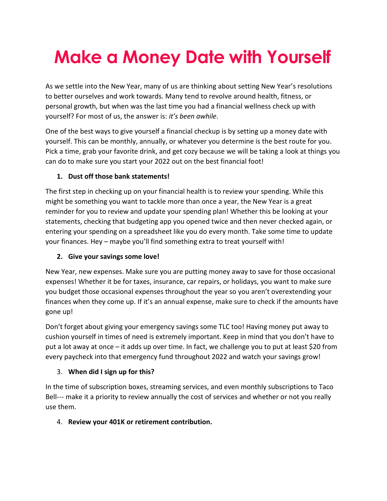# **Make a Money Date with Yourself**

As we settle into the New Year, many of us are thinking about setting New Year's resolutions to better ourselves and work towards. Many tend to revolve around health, fitness, or personal growth, but when was the last time you had a financial wellness check up with yourself? For most of us, the answer is: *it's been awhile*.

One of the best ways to give yourself a financial checkup is by setting up a money date with yourself. This can be monthly, annually, or whatever you determine is the best route for you. Pick a time, grab your favorite drink, and get cozy because we will be taking a look at things you can do to make sure you start your 2022 out on the best financial foot!

## **1. Dust off those bank statements!**

The first step in checking up on your financial health is to review your spending. While this might be something you want to tackle more than once a year, the New Year is a great reminder for you to review and update your spending plan! Whether this be looking at your statements, checking that budgeting app you opened twice and then never checked again, or entering your spending on a spreadsheet like you do every month. Take some time to update your finances. Hey – maybe you'll find something extra to treat yourself with!

## **2. Give your savings some love!**

New Year, new expenses. Make sure you are putting money away to save for those occasional expenses! Whether it be for taxes, insurance, car repairs, or holidays, you want to make sure you budget those occasional expenses throughout the year so you aren't overextending your finances when they come up. If it's an annual expense, make sure to check if the amounts have gone up!

Don't forget about giving your emergency savings some TLC too! Having money put away to cushion yourself in times of need is extremely important. Keep in mind that you don't have to put a lot away at once – it adds up over time. In fact, we challenge you to put at least \$20 from every paycheck into that emergency fund throughout 2022 and watch your savings grow!

## 3. **When did I sign up for this?**

In the time of subscription boxes, streaming services, and even monthly subscriptions to Taco Bell--- make it a priority to review annually the cost of services and whether or not you really use them.

## 4. **Review your 401K or retirement contribution.**